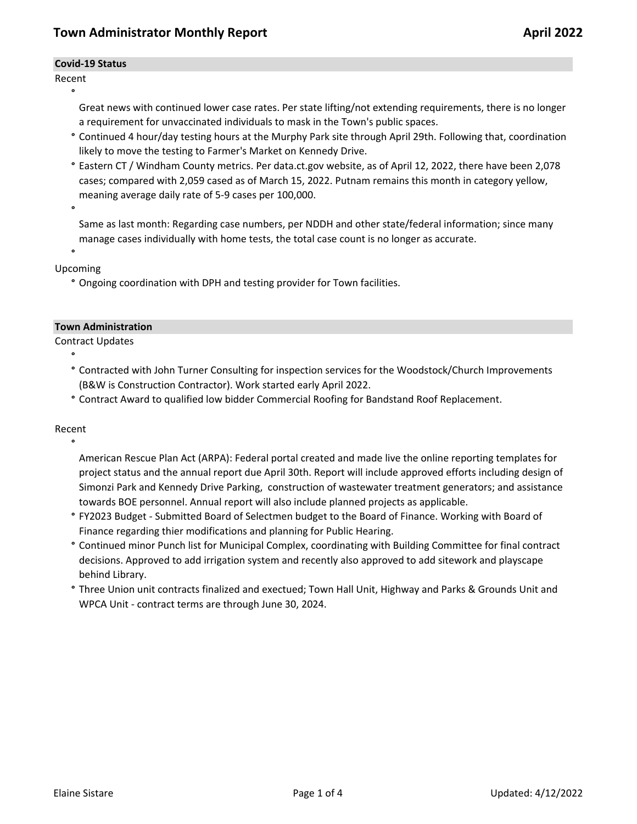#### **Covid-19 Status**

Recent **°**

> Great news with continued lower case rates. Per state lifting/not extending requirements, there is no longer a requirement for unvaccinated individuals to mask in the Town's public spaces.

- **°** Continued 4 hour/day testing hours at the Murphy Park site through April 29th. Following that, coordination likely to move the testing to Farmer's Market on Kennedy Drive.
- **°** Eastern CT / Windham County metrics. Per data.ct.gov website, as of April 12, 2022, there have been 2,078 cases; compared with 2,059 cased as of March 15, 2022. Putnam remains this month in category yellow, meaning average daily rate of 5-9 cases per 100,000.

**°**

Same as last month: Regarding case numbers, per NDDH and other state/federal information; since many manage cases individually with home tests, the total case count is no longer as accurate.

**°** Upcoming

**°** Ongoing coordination with DPH and testing provider for Town facilities.

#### **Town Administration**

Contract Updates

- **°** Contracted with John Turner Consulting for inspection services for the Woodstock/Church Improvements (B&W is Construction Contractor). Work started early April 2022.
- **°** Contract Award to qualified low bidder Commercial Roofing for Bandstand Roof Replacement.

Recent

**°**

**°**

American Rescue Plan Act (ARPA): Federal portal created and made live the online reporting templates for project status and the annual report due April 30th. Report will include approved efforts including design of Simonzi Park and Kennedy Drive Parking, construction of wastewater treatment generators; and assistance towards BOE personnel. Annual report will also include planned projects as applicable.

- **°** FY2023 Budget Submitted Board of Selectmen budget to the Board of Finance. Working with Board of Finance regarding thier modifications and planning for Public Hearing.
- **°** Continued minor Punch list for Municipal Complex, coordinating with Building Committee for final contract decisions. Approved to add irrigation system and recently also approved to add sitework and playscape behind Library.
- **°** Three Union unit contracts finalized and exectued; Town Hall Unit, Highway and Parks & Grounds Unit and WPCA Unit - contract terms are through June 30, 2024.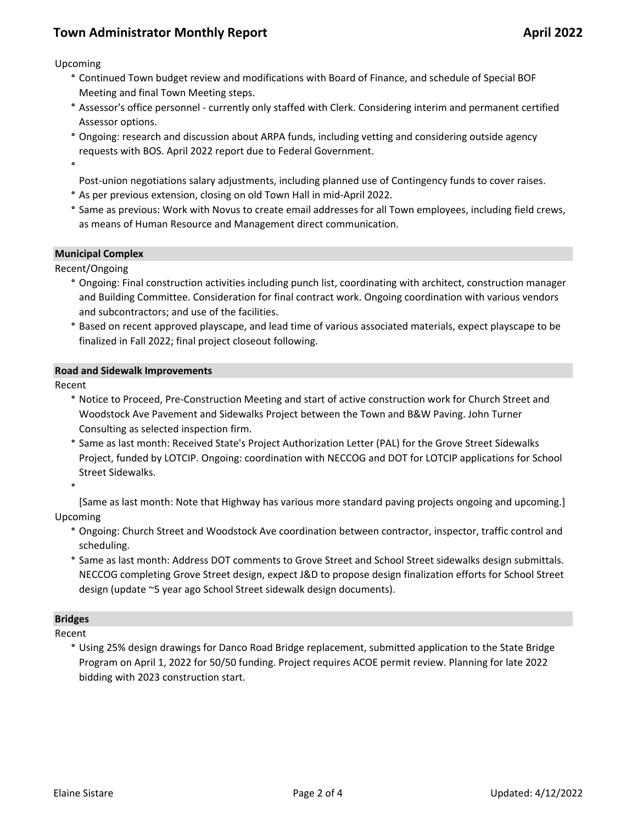Upcoming

- **°** Continued Town budget review and modifications with Board of Finance, and schedule of Special BOF Meeting and final Town Meeting steps.
- **°** Assessor's office personnel currently only staffed with Clerk. Considering interim and permanent certified Assessor options.
- **°** Ongoing: research and discussion about ARPA funds, including vetting and considering outside agency requests with BOS. April 2022 report due to Federal Government.
- **°**

Post-union negotiations salary adjustments, including planned use of Contingency funds to cover raises.

- **°** As per previous extension, closing on old Town Hall in mid-April 2022.
- **°** Same as previous: Work with Novus to create email addresses for all Town employees, including field crews, as means of Human Resource and Management direct communication.

### **Municipal Complex**

Recent/Ongoing

- **°** Ongoing: Final construction activities including punch list, coordinating with architect, construction manager and Building Committee. Consideration for final contract work. Ongoing coordination with various vendors and subcontractors; and use of the facilities.
- **°** Based on recent approved playscape, and lead time of various associated materials, expect playscape to be finalized in Fall 2022; final project closeout following.

#### **Road and Sidewalk Improvements**

Recent

- **°** Notice to Proceed, Pre-Construction Meeting and start of active construction work for Church Street and Woodstock Ave Pavement and Sidewalks Project between the Town and B&W Paving. John Turner Consulting as selected inspection firm.
- **°** Same as last month: Received State's Project Authorization Letter (PAL) for the Grove Street Sidewalks Project, funded by LOTCIP. Ongoing: coordination with NECCOG and DOT for LOTCIP applications for School Street Sidewalks.

**°**

[Same as last month: Note that Highway has various more standard paving projects ongoing and upcoming.] Upcoming

- **°** Ongoing: Church Street and Woodstock Ave coordination between contractor, inspector, traffic control and scheduling.
- **°** Same as last month: Address DOT comments to Grove Street and School Street sidewalks design submittals. NECCOG completing Grove Street design, expect J&D to propose design finalization efforts for School Street design (update ~5 year ago School Street sidewalk design documents).

#### **Bridges**

Recent

**°** Using 25% design drawings for Danco Road Bridge replacement, submitted application to the State Bridge Program on April 1, 2022 for 50/50 funding. Project requires ACOE permit review. Planning for late 2022 bidding with 2023 construction start.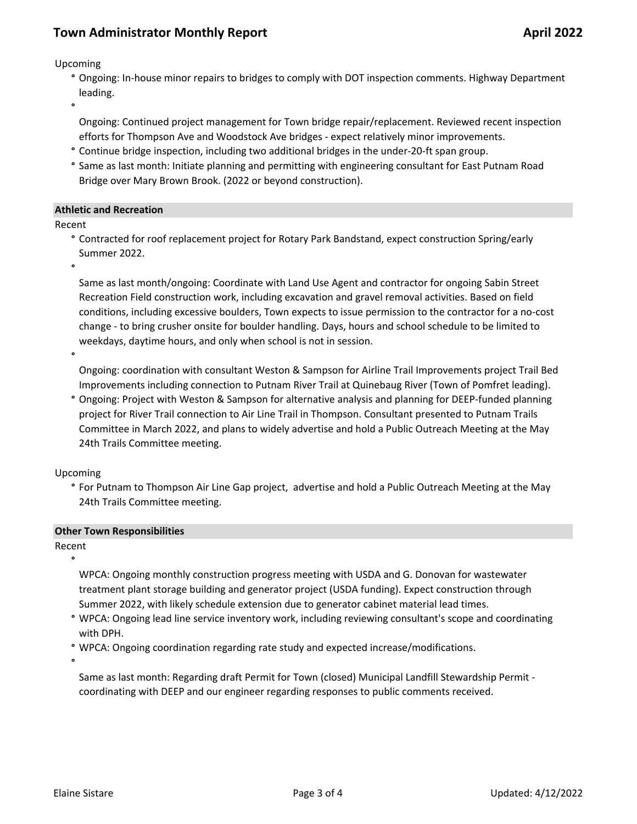Upcoming

**°** Ongoing: In-house minor repairs to bridges to comply with DOT inspection comments. Highway Department leading.

**°**

Ongoing: Continued project management for Town bridge repair/replacement. Reviewed recent inspection efforts for Thompson Ave and Woodstock Ave bridges - expect relatively minor improvements.

- **°** Continue bridge inspection, including two additional bridges in the under-20-ft span group.
- **°** Same as last month: Initiate planning and permitting with engineering consultant for East Putnam Road Bridge over Mary Brown Brook. (2022 or beyond construction).

### **Athletic and Recreation**

Recent

**°** Contracted for roof replacement project for Rotary Park Bandstand, expect construction Spring/early Summer 2022.

**°**

Same as last month/ongoing: Coordinate with Land Use Agent and contractor for ongoing Sabin Street Recreation Field construction work, including excavation and gravel removal activities. Based on field conditions, including excessive boulders, Town expects to issue permission to the contractor for a no-cost change - to bring crusher onsite for boulder handling. Days, hours and school schedule to be limited to weekdays, daytime hours, and only when school is not in session.

**°**

Ongoing: coordination with consultant Weston & Sampson for Airline Trail Improvements project Trail Bed Improvements including connection to Putnam River Trail at Quinebaug River (Town of Pomfret leading).

**°** Ongoing: Project with Weston & Sampson for alternative analysis and planning for DEEP-funded planning project for River Trail connection to Air Line Trail in Thompson. Consultant presented to Putnam Trails Committee in March 2022, and plans to widely advertise and hold a Public Outreach Meeting at the May 24th Trails Committee meeting.

Upcoming

**°** For Putnam to Thompson Air Line Gap project, advertise and hold a Public Outreach Meeting at the May 24th Trails Committee meeting.

## **Other Town Responsibilities**

Recent

**°**

WPCA: Ongoing monthly construction progress meeting with USDA and G. Donovan for wastewater treatment plant storage building and generator project (USDA funding). Expect construction through Summer 2022, with likely schedule extension due to generator cabinet material lead times.

- **°** WPCA: Ongoing lead line service inventory work, including reviewing consultant's scope and coordinating with DPH.
- **°** WPCA: Ongoing coordination regarding rate study and expected increase/modifications.

**°**

Same as last month: Regarding draft Permit for Town (closed) Municipal Landfill Stewardship Permit coordinating with DEEP and our engineer regarding responses to public comments received.